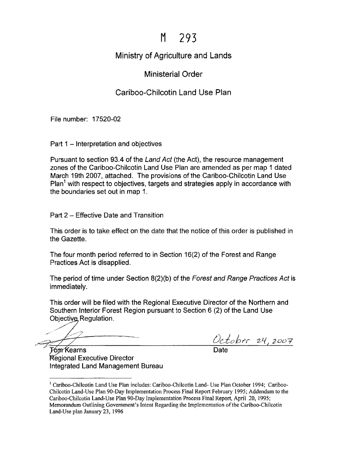## M 293

## Ministry of Agriculture and Lands

## Ministerial Order

## Cariboo-Chilcotin Land Use Plan

File number: 17520-02

Part 1 - Interpretation and objectives

Pursuant to section 93.4 of the Land Act (the Act), the resource management zones of the Cariboo-Chilcotin Land Use Plan are amended as per map 1 dated March 19th 2007, attached. The provisions of the Cariboo-Chilcotin Land Use Plan<sup>1</sup> with respect to objectives, targets and strategies apply in accordance with the boundaries set out in map 1.

Part 2 - Effective Date and Transition

This order is to take effect on the date that the notice of this order is published in the Gazette.

The four month period referred to in Section 16(2) of the Forest and Range Practices Act is disapplied.

The period of time under Section 8(2)(b) of the Forest and Range Practices Act is immediately.

This order will be filed with the Regional Executive Director of the Northern and Southern Interior Forest Region pursuant to Section 6 (2) of the Land Use Objective Regulation.

October 24,2007

F∕om∕ Kearns Regional Executive Director Integrated Land Management Bureau

<sup>&</sup>lt;sup>1</sup> Cariboo-Chilcotin Land Use Plan includes: Cariboo-Chilcotin Land- Use Plan October 1994; Cariboo-Chilcotin Land-Use Plan 90-Day Implementation Process Final Report February 1995; Addendum to the Cariboo-Chilcotin Land-Use Plan 90-Day Implementation Process Final Report, April 20, 1995; Memorandum Outlining Government's Intent Regarding the Implementation of the Cariboo-Chilcotin Land-Use plan January 23, 1996